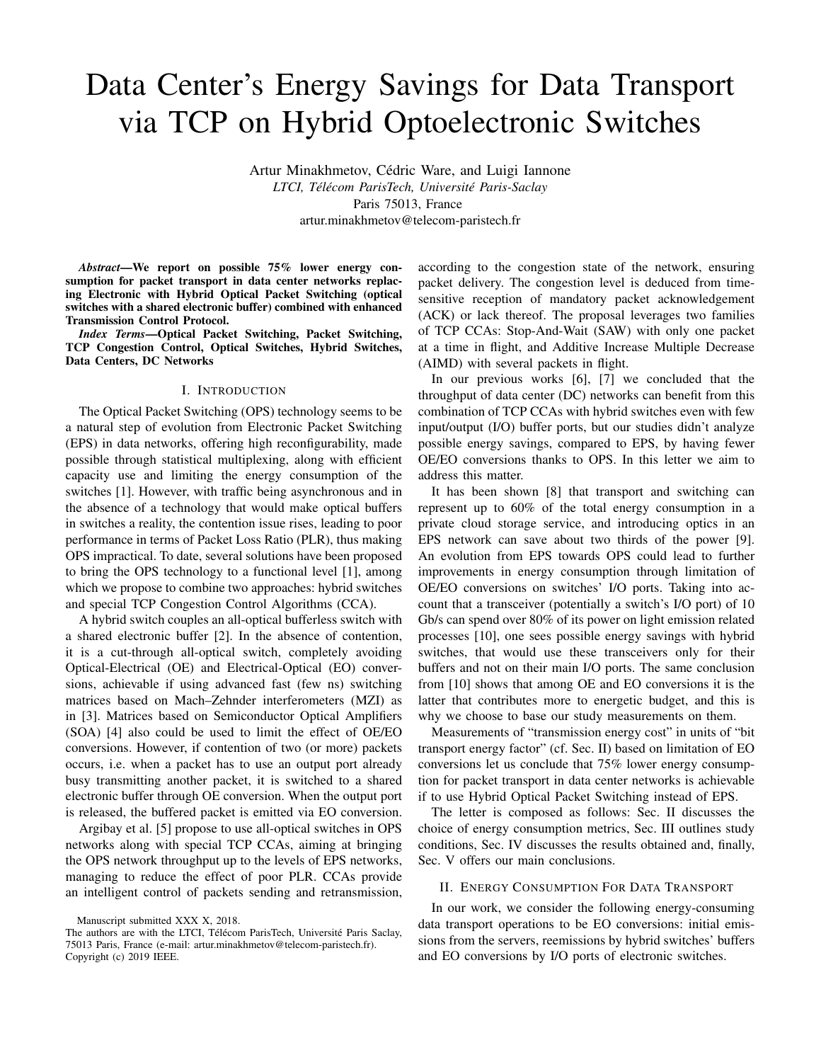# Data Center's Energy Savings for Data Transport via TCP on Hybrid Optoelectronic Switches

Artur Minakhmetov, Cédric Ware, and Luigi Iannone *LTCI, Tel´ ecom ParisTech, Universit ´ e Paris-Saclay ´* Paris 75013, France artur.minakhmetov@telecom-paristech.fr

*Abstract*—We report on possible 75% lower energy consumption for packet transport in data center networks replacing Electronic with Hybrid Optical Packet Switching (optical switches with a shared electronic buffer) combined with enhanced Transmission Control Protocol.

*Index Terms*—Optical Packet Switching, Packet Switching, TCP Congestion Control, Optical Switches, Hybrid Switches, Data Centers, DC Networks

### I. INTRODUCTION

The Optical Packet Switching (OPS) technology seems to be a natural step of evolution from Electronic Packet Switching (EPS) in data networks, offering high reconfigurability, made possible through statistical multiplexing, along with efficient capacity use and limiting the energy consumption of the switches [1]. However, with traffic being asynchronous and in the absence of a technology that would make optical buffers in switches a reality, the contention issue rises, leading to poor performance in terms of Packet Loss Ratio (PLR), thus making OPS impractical. To date, several solutions have been proposed to bring the OPS technology to a functional level [1], among which we propose to combine two approaches: hybrid switches and special TCP Congestion Control Algorithms (CCA).

A hybrid switch couples an all-optical bufferless switch with a shared electronic buffer [2]. In the absence of contention, it is a cut-through all-optical switch, completely avoiding Optical-Electrical (OE) and Electrical-Optical (EO) conversions, achievable if using advanced fast (few ns) switching matrices based on Mach–Zehnder interferometers (MZI) as in [3]. Matrices based on Semiconductor Optical Amplifiers (SOA) [4] also could be used to limit the effect of OE/EO conversions. However, if contention of two (or more) packets occurs, i.e. when a packet has to use an output port already busy transmitting another packet, it is switched to a shared electronic buffer through OE conversion. When the output port is released, the buffered packet is emitted via EO conversion.

Argibay et al. [5] propose to use all-optical switches in OPS networks along with special TCP CCAs, aiming at bringing the OPS network throughput up to the levels of EPS networks, managing to reduce the effect of poor PLR. CCAs provide an intelligent control of packets sending and retransmission, according to the congestion state of the network, ensuring packet delivery. The congestion level is deduced from timesensitive reception of mandatory packet acknowledgement (ACK) or lack thereof. The proposal leverages two families of TCP CCAs: Stop-And-Wait (SAW) with only one packet at a time in flight, and Additive Increase Multiple Decrease (AIMD) with several packets in flight.

In our previous works [6], [7] we concluded that the throughput of data center (DC) networks can benefit from this combination of TCP CCAs with hybrid switches even with few input/output (I/O) buffer ports, but our studies didn't analyze possible energy savings, compared to EPS, by having fewer OE/EO conversions thanks to OPS. In this letter we aim to address this matter.

It has been shown [8] that transport and switching can represent up to 60% of the total energy consumption in a private cloud storage service, and introducing optics in an EPS network can save about two thirds of the power [9]. An evolution from EPS towards OPS could lead to further improvements in energy consumption through limitation of OE/EO conversions on switches' I/O ports. Taking into account that a transceiver (potentially a switch's I/O port) of 10 Gb/s can spend over 80% of its power on light emission related processes [10], one sees possible energy savings with hybrid switches, that would use these transceivers only for their buffers and not on their main I/O ports. The same conclusion from [10] shows that among OE and EO conversions it is the latter that contributes more to energetic budget, and this is why we choose to base our study measurements on them.

Measurements of "transmission energy cost" in units of "bit transport energy factor" (cf. Sec. II) based on limitation of EO conversions let us conclude that 75% lower energy consumption for packet transport in data center networks is achievable if to use Hybrid Optical Packet Switching instead of EPS.

The letter is composed as follows: Sec. II discusses the choice of energy consumption metrics, Sec. III outlines study conditions, Sec. IV discusses the results obtained and, finally, Sec. V offers our main conclusions.

#### II. ENERGY CONSUMPTION FOR DATA TRANSPORT

In our work, we consider the following energy-consuming data transport operations to be EO conversions: initial emissions from the servers, reemissions by hybrid switches' buffers and EO conversions by I/O ports of electronic switches.

Manuscript submitted XXX X, 2018.

The authors are with the LTCI, Télécom ParisTech, Université Paris Saclay, 75013 Paris, France (e-mail: artur.minakhmetov@telecom-paristech.fr). Copyright (c) 2019 IEEE.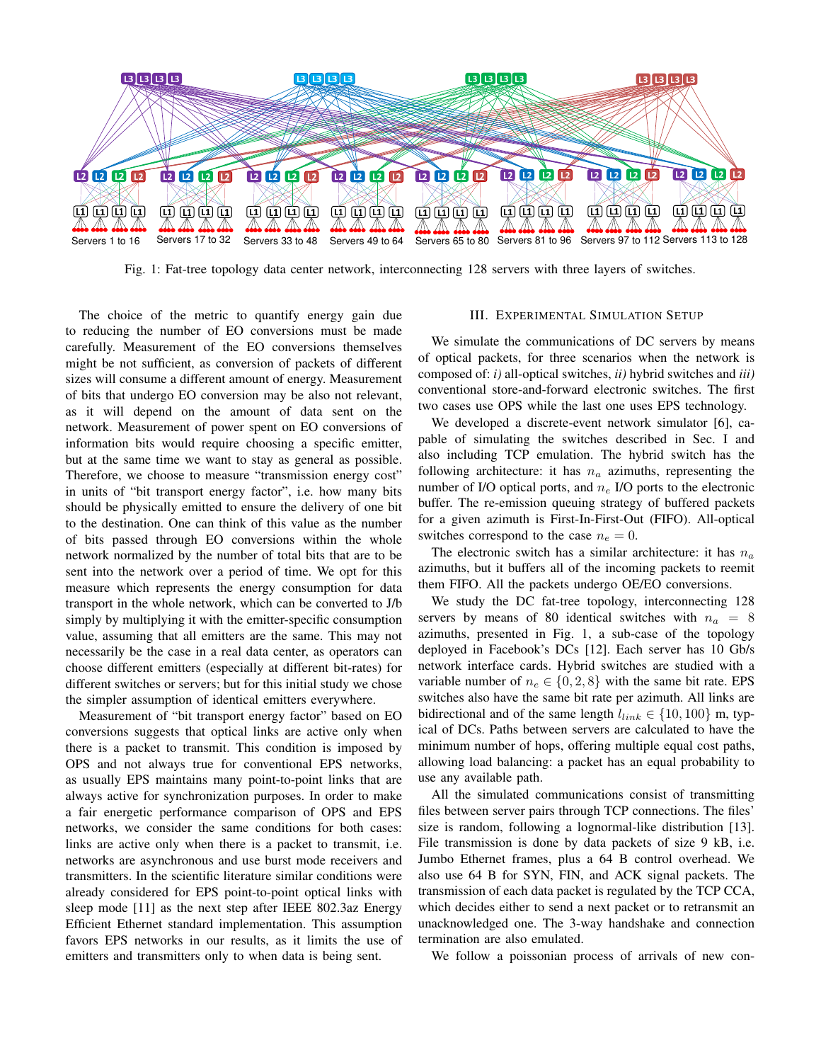

Fig. 1: Fat-tree topology data center network, interconnecting 128 servers with three layers of switches.

The choice of the metric to quantify energy gain due to reducing the number of EO conversions must be made carefully. Measurement of the EO conversions themselves might be not sufficient, as conversion of packets of different sizes will consume a different amount of energy. Measurement of bits that undergo EO conversion may be also not relevant, as it will depend on the amount of data sent on the network. Measurement of power spent on EO conversions of information bits would require choosing a specific emitter, but at the same time we want to stay as general as possible. Therefore, we choose to measure "transmission energy cost" in units of "bit transport energy factor", i.e. how many bits should be physically emitted to ensure the delivery of one bit to the destination. One can think of this value as the number of bits passed through EO conversions within the whole network normalized by the number of total bits that are to be sent into the network over a period of time. We opt for this measure which represents the energy consumption for data transport in the whole network, which can be converted to J/b simply by multiplying it with the emitter-specific consumption value, assuming that all emitters are the same. This may not necessarily be the case in a real data center, as operators can choose different emitters (especially at different bit-rates) for different switches or servers; but for this initial study we chose the simpler assumption of identical emitters everywhere.

Measurement of "bit transport energy factor" based on EO conversions suggests that optical links are active only when there is a packet to transmit. This condition is imposed by OPS and not always true for conventional EPS networks, as usually EPS maintains many point-to-point links that are always active for synchronization purposes. In order to make a fair energetic performance comparison of OPS and EPS networks, we consider the same conditions for both cases: links are active only when there is a packet to transmit, i.e. networks are asynchronous and use burst mode receivers and transmitters. In the scientific literature similar conditions were already considered for EPS point-to-point optical links with sleep mode [11] as the next step after IEEE 802.3az Energy Efficient Ethernet standard implementation. This assumption favors EPS networks in our results, as it limits the use of emitters and transmitters only to when data is being sent.

# III. EXPERIMENTAL SIMULATION SETUP

We simulate the communications of DC servers by means of optical packets, for three scenarios when the network is composed of: *i)* all-optical switches, *ii)* hybrid switches and *iii)* conventional store-and-forward electronic switches. The first two cases use OPS while the last one uses EPS technology.

We developed a discrete-event network simulator [6], capable of simulating the switches described in Sec. I and also including TCP emulation. The hybrid switch has the following architecture: it has  $n_a$  azimuths, representing the number of I/O optical ports, and  $n_e$  I/O ports to the electronic buffer. The re-emission queuing strategy of buffered packets for a given azimuth is First-In-First-Out (FIFO). All-optical switches correspond to the case  $n_e = 0$ .

The electronic switch has a similar architecture: it has  $n_a$ azimuths, but it buffers all of the incoming packets to reemit them FIFO. All the packets undergo OE/EO conversions.

We study the DC fat-tree topology, interconnecting 128 servers by means of 80 identical switches with  $n_a = 8$ azimuths, presented in Fig. 1, a sub-case of the topology deployed in Facebook's DCs [12]. Each server has 10 Gb/s network interface cards. Hybrid switches are studied with a variable number of  $n_e \in \{0, 2, 8\}$  with the same bit rate. EPS switches also have the same bit rate per azimuth. All links are bidirectional and of the same length  $l_{link} \in \{10, 100\}$  m, typical of DCs. Paths between servers are calculated to have the minimum number of hops, offering multiple equal cost paths, allowing load balancing: a packet has an equal probability to use any available path.

All the simulated communications consist of transmitting files between server pairs through TCP connections. The files' size is random, following a lognormal-like distribution [13]. File transmission is done by data packets of size 9 kB, i.e. Jumbo Ethernet frames, plus a 64 B control overhead. We also use 64 B for SYN, FIN, and ACK signal packets. The transmission of each data packet is regulated by the TCP CCA, which decides either to send a next packet or to retransmit an unacknowledged one. The 3-way handshake and connection termination are also emulated.

We follow a poissonian process of arrivals of new con-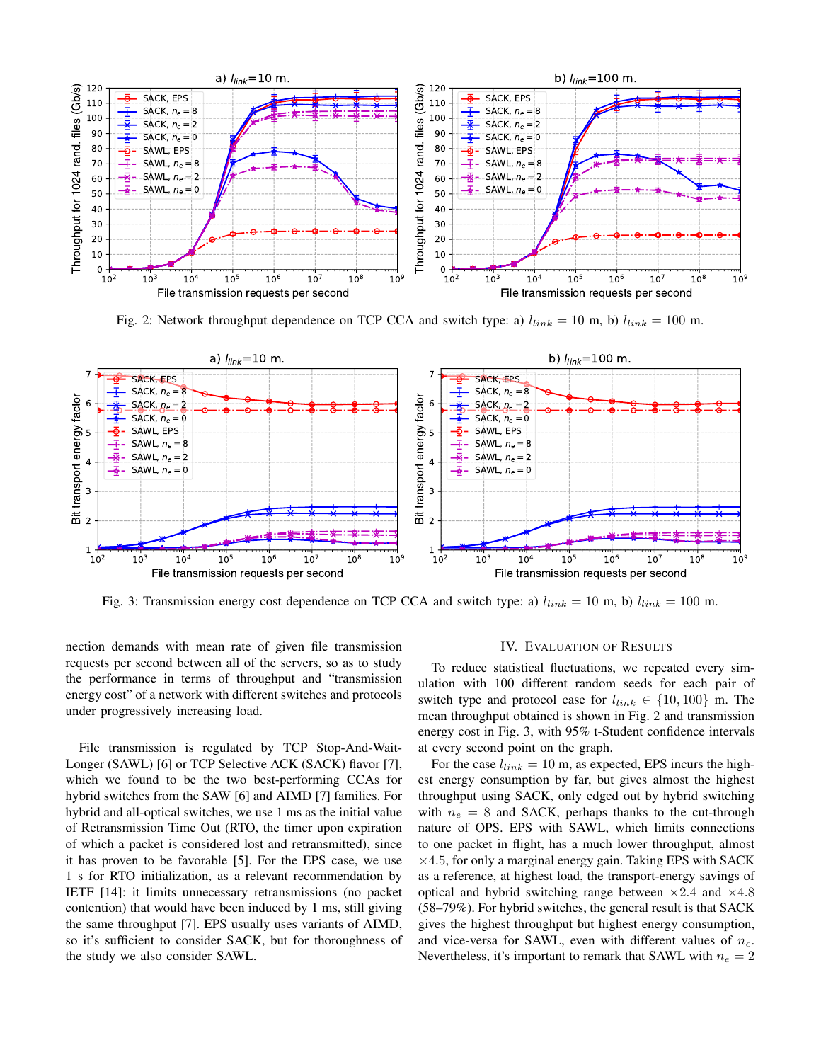

Fig. 2: Network throughput dependence on TCP CCA and switch type: a)  $l_{link} = 10$  m, b)  $l_{link} = 100$  m.



Fig. 3: Transmission energy cost dependence on TCP CCA and switch type: a)  $l_{link} = 10$  m, b)  $l_{link} = 100$  m.

nection demands with mean rate of given file transmission requests per second between all of the servers, so as to study the performance in terms of throughput and "transmission energy cost" of a network with different switches and protocols under progressively increasing load.

File transmission is regulated by TCP Stop-And-Wait-Longer (SAWL) [6] or TCP Selective ACK (SACK) flavor [7], which we found to be the two best-performing CCAs for hybrid switches from the SAW [6] and AIMD [7] families. For hybrid and all-optical switches, we use 1 ms as the initial value of Retransmission Time Out (RTO, the timer upon expiration of which a packet is considered lost and retransmitted), since it has proven to be favorable [5]. For the EPS case, we use 1 s for RTO initialization, as a relevant recommendation by IETF [14]: it limits unnecessary retransmissions (no packet contention) that would have been induced by 1 ms, still giving the same throughput [7]. EPS usually uses variants of AIMD, so it's sufficient to consider SACK, but for thoroughness of the study we also consider SAWL.

#### IV. EVALUATION OF RESULTS

To reduce statistical fluctuations, we repeated every simulation with 100 different random seeds for each pair of switch type and protocol case for  $l_{link} \in \{10, 100\}$  m. The mean throughput obtained is shown in Fig. 2 and transmission energy cost in Fig. 3, with 95% t-Student confidence intervals at every second point on the graph.

For the case  $l_{link} = 10$  m, as expected, EPS incurs the highest energy consumption by far, but gives almost the highest throughput using SACK, only edged out by hybrid switching with  $n_e = 8$  and SACK, perhaps thanks to the cut-through nature of OPS. EPS with SAWL, which limits connections to one packet in flight, has a much lower throughput, almost  $\times$ 4.5, for only a marginal energy gain. Taking EPS with SACK as a reference, at highest load, the transport-energy savings of optical and hybrid switching range between  $\times 2.4$  and  $\times 4.8$ (58–79%). For hybrid switches, the general result is that SACK gives the highest throughput but highest energy consumption, and vice-versa for SAWL, even with different values of  $n_e$ . Nevertheless, it's important to remark that SAWL with  $n_e = 2$